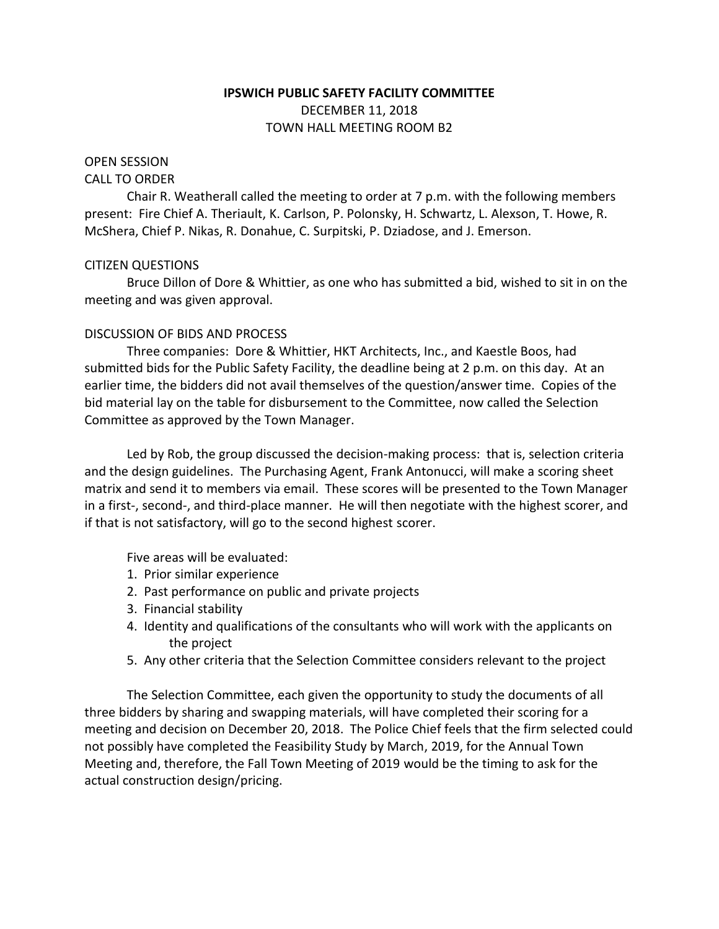# **IPSWICH PUBLIC SAFETY FACILITY COMMITTEE** DECEMBER 11, 2018 TOWN HALL MEETING ROOM B2

## OPEN SESSION

#### CALL TO ORDER

Chair R. Weatherall called the meeting to order at 7 p.m. with the following members present: Fire Chief A. Theriault, K. Carlson, P. Polonsky, H. Schwartz, L. Alexson, T. Howe, R. McShera, Chief P. Nikas, R. Donahue, C. Surpitski, P. Dziadose, and J. Emerson.

### CITIZEN QUESTIONS

Bruce Dillon of Dore & Whittier, as one who has submitted a bid, wished to sit in on the meeting and was given approval.

### DISCUSSION OF BIDS AND PROCESS

Three companies: Dore & Whittier, HKT Architects, Inc., and Kaestle Boos, had submitted bids for the Public Safety Facility, the deadline being at 2 p.m. on this day. At an earlier time, the bidders did not avail themselves of the question/answer time. Copies of the bid material lay on the table for disbursement to the Committee, now called the Selection Committee as approved by the Town Manager.

Led by Rob, the group discussed the decision-making process: that is, selection criteria and the design guidelines. The Purchasing Agent, Frank Antonucci, will make a scoring sheet matrix and send it to members via email. These scores will be presented to the Town Manager in a first-, second-, and third-place manner. He will then negotiate with the highest scorer, and if that is not satisfactory, will go to the second highest scorer.

Five areas will be evaluated:

- 1. Prior similar experience
- 2. Past performance on public and private projects
- 3. Financial stability
- 4. Identity and qualifications of the consultants who will work with the applicants on the project
- 5. Any other criteria that the Selection Committee considers relevant to the project

The Selection Committee, each given the opportunity to study the documents of all three bidders by sharing and swapping materials, will have completed their scoring for a meeting and decision on December 20, 2018. The Police Chief feels that the firm selected could not possibly have completed the Feasibility Study by March, 2019, for the Annual Town Meeting and, therefore, the Fall Town Meeting of 2019 would be the timing to ask for the actual construction design/pricing.